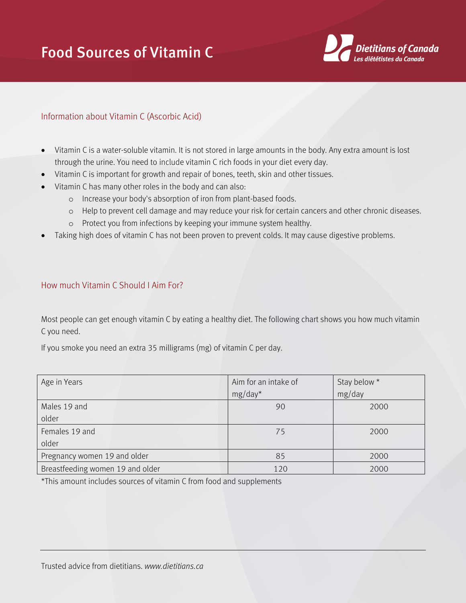## Food Sources of Vitamin C



## Information about Vitamin C (Ascorbic Acid)

- Vitamin C is a water-soluble vitamin. It is not stored in large amounts in the body. Any extra amount is lost through the urine. You need to include vitamin C rich foods in your diet every day.
- Vitamin C is important for growth and repair of bones, teeth, skin and other tissues.
- Vitamin C has many other roles in the body and can also:
	- o Increase your body's absorption of iron from plant-based foods.
	- o Help to prevent cell damage and may reduce your risk for certain cancers and other chronic diseases.
	- o Protect you from infections by keeping your immune system healthy.
- Taking high does of vitamin C has not been proven to prevent colds. It may cause digestive problems.

## How much Vitamin C Should I Aim For?

Most people can get enough vitamin C by eating a healthy diet. The following chart shows you how much vitamin C you need.

If you smoke you need an extra 35 milligrams (mg) of vitamin C per day.

| Age in Years                     | Aim for an intake of | Stay below * |
|----------------------------------|----------------------|--------------|
|                                  | $mg/day^*$           | mg/day       |
| Males 19 and                     | 90                   | 2000         |
| older                            |                      |              |
| Females 19 and                   | 75                   | 2000         |
| older                            |                      |              |
| Pregnancy women 19 and older     | 85                   | 2000         |
| Breastfeeding women 19 and older | 120                  | 2000         |

\*This amount includes sources of vitamin C from food and supplements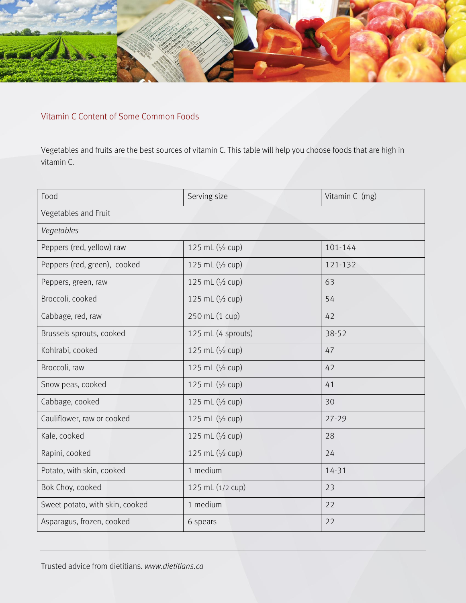

## Vitamin C Content of Some Common Foods

Vegetables and fruits are the best sources of vitamin C. This table will help you choose foods that are high in vitamin C.

| Food                            | Serving size       | Vitamin C (mg) |
|---------------------------------|--------------------|----------------|
| Vegetables and Fruit            |                    |                |
| Vegetables                      |                    |                |
| Peppers (red, yellow) raw       | 125 mL (1/2 cup)   | 101-144        |
| Peppers (red, green), cooked    | 125 mL (1/2 cup)   | 121-132        |
| Peppers, green, raw             | 125 mL $(1/2$ cup) | 63             |
| Broccoli, cooked                | 125 mL $(1/2$ cup) | 54             |
| Cabbage, red, raw               | 250 mL (1 cup)     | 42             |
| Brussels sprouts, cooked        | 125 mL (4 sprouts) | 38-52          |
| Kohlrabi, cooked                | 125 mL $(1/2$ cup) | 47             |
| Broccoli, raw                   | 125 mL $(1/2$ cup) | 42             |
| Snow peas, cooked               | 125 mL (1/2 cup)   | 41             |
| Cabbage, cooked                 | 125 mL (1/2 cup)   | 30             |
| Cauliflower, raw or cooked      | 125 mL $(1/2$ cup) | $27 - 29$      |
| Kale, cooked                    | 125 mL $(1/2$ cup) | 28             |
| Rapini, cooked                  | 125 mL $(1/2$ cup) | 24             |
| Potato, with skin, cooked       | 1 medium           | 14-31          |
| Bok Choy, cooked                | 125 mL (1/2 cup)   | 23             |
| Sweet potato, with skin, cooked | 1 medium           | 22             |
| Asparagus, frozen, cooked       | 6 spears           | 22             |

Trusted advice from dietitians. *www.dietitians.ca*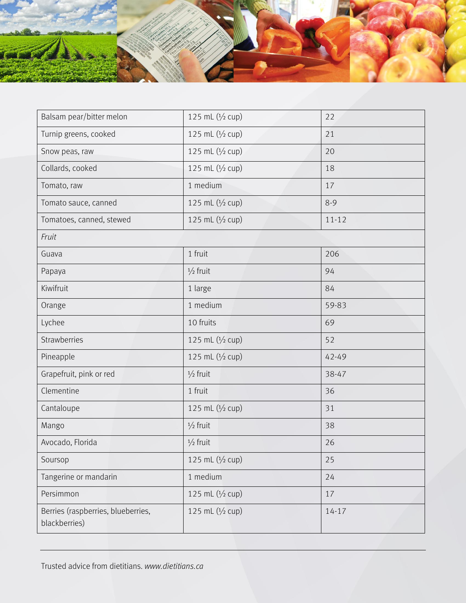

| Balsam pear/bitter melon                            | 125 mL $(1/2$ cup)  | 22        |
|-----------------------------------------------------|---------------------|-----------|
| Turnip greens, cooked                               | 125 mL (1/2 cup)    | 21        |
| Snow peas, raw                                      | 125 mL (1/2 cup)    | 20        |
| Collards, cooked                                    | 125 mL (1/2 cup)    | 18        |
| Tomato, raw                                         | 1 medium            | 17        |
| Tomato sauce, canned                                | 125 mL (1/2 cup)    | $8 - 9$   |
| Tomatoes, canned, stewed                            | 125 mL (1/2 cup)    | $11 - 12$ |
| Fruit                                               |                     |           |
| Guava                                               | 1 fruit             | 206       |
| Papaya                                              | $\frac{1}{2}$ fruit | 94        |
| Kiwifruit                                           | 1 large             | 84        |
| Orange                                              | 1 medium            | 59-83     |
| Lychee                                              | 10 fruits           | 69        |
| Strawberries                                        | 125 mL (1/2 cup)    | 52        |
| Pineapple                                           | 125 mL (1/2 cup)    | 42-49     |
| Grapefruit, pink or red                             | $\frac{1}{2}$ fruit | 38-47     |
| Clementine                                          | 1 fruit             | 36        |
| Cantaloupe                                          | 125 mL (1/2 cup)    | 31        |
| Mango                                               | $\frac{1}{2}$ fruit | 38        |
| Avocado, Florida                                    | $\frac{1}{2}$ fruit | 26        |
| Soursop                                             | 125 mL (1/2 cup)    | 25        |
| Tangerine or mandarin                               | 1 medium            | 24        |
| Persimmon                                           | 125 mL (1/2 cup)    | 17        |
| Berries (raspberries, blueberries,<br>blackberries) | 125 mL (1/2 cup)    | $14 - 17$ |

Trusted advice from dietitians. *www.dietitians.ca*